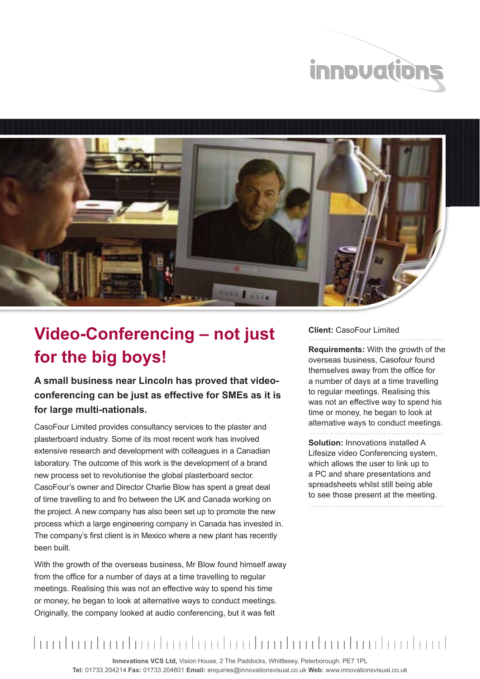



## **Video-Conferencing – not just for the big boys!**

**A small business near Lincoln has proved that videoconferencing can be just as effective for SMEs as it is for large multi-nationals.**

CasoFour Limited provides consultancy services to the plaster and plasterboard industry. Some of its most recent work has involved extensive research and development with colleagues in a Canadian laboratory. The outcome of this work is the development of a brand new process set to revolutionise the global plasterboard sector. CasoFour's owner and Director Charlie Blow has spent a great deal of time travelling to and fro between the UK and Canada working on the project. A new company has also been set up to promote the new process which a large engineering company in Canada has invested in. The company's first client is in Mexico where a new plant has recently been built.

With the growth of the overseas business, Mr Blow found himself away from the office for a number of days at a time travelling to regular meetings. Realising this was not an effective way to spend his time or money, he began to look at alternative ways to conduct meetings. Originally, the company looked at audio conferencing, but it was felt

## **Client:** CasoFour Limited

**Requirements:** With the growth of the overseas business, Casofour found themselves away from the office for a number of days at a time travelling to regular meetings. Realising this was not an effective way to spend his time or money, he began to look at alternative ways to conduct meetings.

**Solution:** Innovations installed A Lifesize video Conferencing system, which allows the user to link up to a PC and share presentations and spreadsheets whilst still being able to see those present at the meeting.

## 

**Innovations VCS Ltd,** Vision House, 2 The Paddocks, Whittlesey, Peterborough. PE7 1PL **Tel:** 01733 204214 **Fax:** 01733 204601 **Email:** enquiries@innovationsvisual.co.uk **Web:** www.innovationsvisual.co.uk